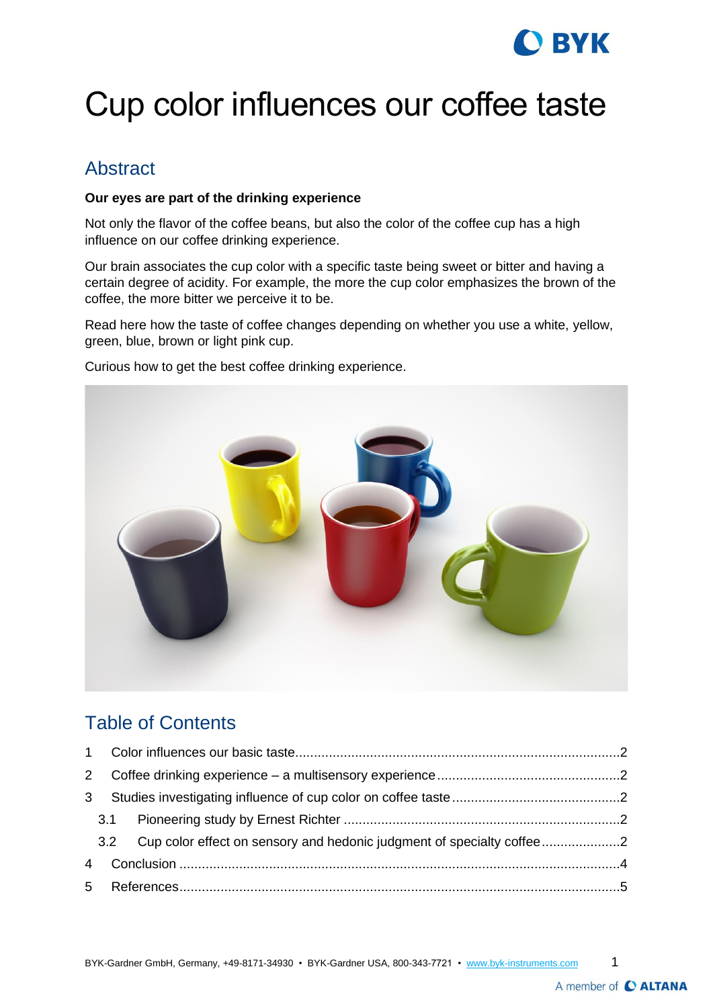# **BYK**

# Cup color influences our coffee taste

### Abstract

#### **Our eyes are part of the drinking experience**

Not only the flavor of the coffee beans, but also the color of the coffee cup has a high influence on our coffee drinking experience.

Our brain associates the cup color with a specific taste being sweet or bitter and having a certain degree of acidity. For example, the more the cup color emphasizes the brown of the coffee, the more bitter we perceive it to be.

Read here how the taste of coffee changes depending on whether you use a white, yellow, green, blue, brown or light pink cup.

Curious how to get the best coffee drinking experience.



### Table of Contents

|                | 2 |                                                                           |  |  |  |
|----------------|---|---------------------------------------------------------------------------|--|--|--|
| 3              |   |                                                                           |  |  |  |
|                |   |                                                                           |  |  |  |
|                |   | 3.2 Cup color effect on sensory and hedonic judgment of specialty coffee2 |  |  |  |
| $\overline{4}$ |   |                                                                           |  |  |  |
|                |   |                                                                           |  |  |  |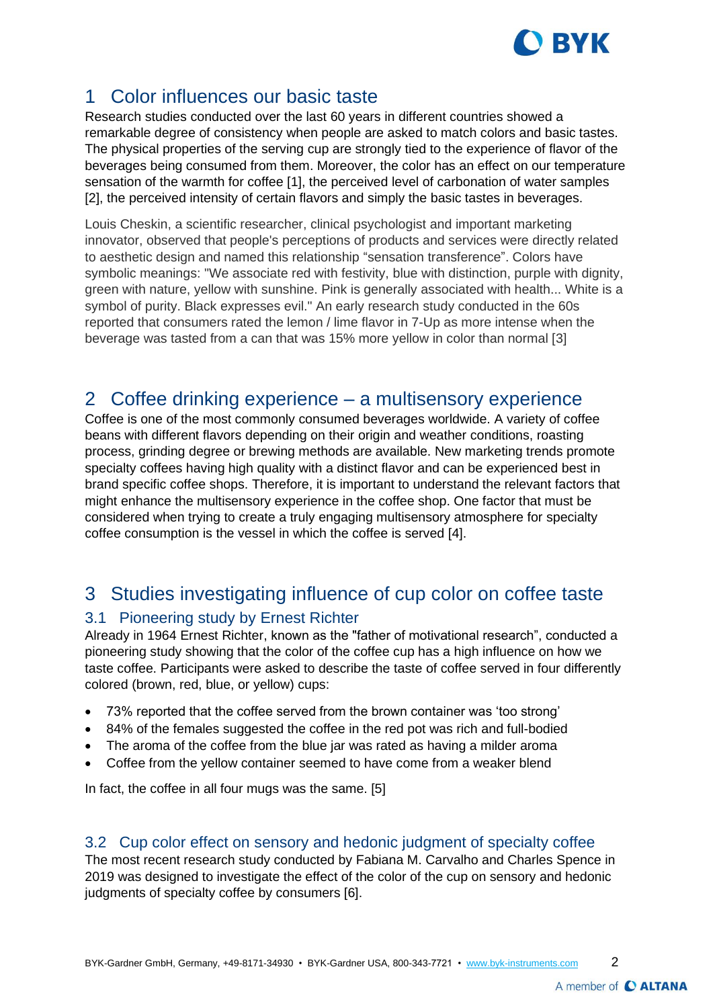

## <span id="page-1-0"></span>1 Color influences our basic taste

Research studies conducted over the last 60 years in different countries showed a remarkable degree of consistency when people are asked to match colors and basic tastes. The physical properties of the serving cup are strongly tied to the experience of flavor of the beverages being consumed from them. Moreover, the color has an effect on our temperature sensation of the warmth for coffee [1], the perceived level of carbonation of water samples [2], the perceived intensity of certain flavors and simply the basic tastes in beverages.

Louis Cheskin, a scientific researcher, clinical psychologist and important marketing innovator, observed that people's perceptions of products and services were directly related to aesthetic design and named this relationship "sensation transference". Colors have symbolic meanings: "We associate red with festivity, blue with distinction, purple with dignity, green with nature, yellow with sunshine. Pink is generally associated with health... White is a symbol of purity. Black expresses evil." An early research study conducted in the 60s reported that consumers rated the lemon / lime flavor in 7-Up as more intense when the beverage was tasted from a can that was 15% more yellow in color than normal [3]

#### <span id="page-1-1"></span>2 Coffee drinking experience – a multisensory experience

Coffee is one of the most commonly consumed beverages worldwide. A variety of coffee beans with different flavors depending on their origin and weather conditions, roasting process, grinding degree or brewing methods are available. New marketing trends promote specialty coffees having high quality with a distinct flavor and can be experienced best in brand specific coffee shops. Therefore, it is important to understand the relevant factors that might enhance the multisensory experience in the coffee shop. One factor that must be considered when trying to create a truly engaging multisensory atmosphere for specialty coffee consumption is the vessel in which the coffee is served [4].

## <span id="page-1-2"></span>3 Studies investigating influence of cup color on coffee taste

#### <span id="page-1-3"></span>3.1 Pioneering study by Ernest Richter

Already in 1964 Ernest Richter, known as the "father of motivational research", conducted a pioneering study showing that the color of the coffee cup has a high influence on how we taste coffee. Participants were asked to describe the taste of coffee served in four differently colored (brown, red, blue, or yellow) cups:

- 73% reported that the coffee served from the brown container was 'too strong'
- 84% of the females suggested the coffee in the red pot was rich and full-bodied
- The aroma of the coffee from the blue jar was rated as having a milder aroma
- Coffee from the yellow container seemed to have come from a weaker blend

In fact, the coffee in all four mugs was the same. [5]

#### <span id="page-1-4"></span>3.2 Cup color effect on sensory and hedonic judgment of specialty coffee

The most recent research study conducted by Fabiana M. Carvalho and Charles Spence in 2019 was designed to investigate the effect of the color of the cup on sensory and hedonic judgments of specialty coffee by consumers [6].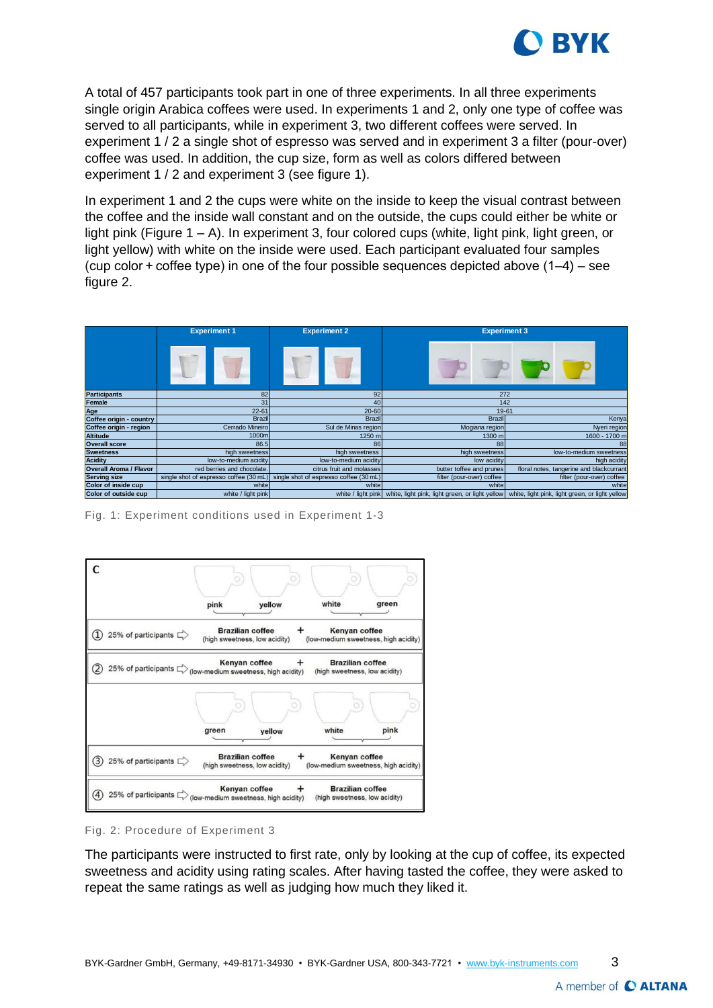

A total of 457 participants took part in one of three experiments. In all three experiments single origin Arabica coffees were used. In experiments 1 and 2, only one type of coffee was served to all participants, while in experiment 3, two different coffees were served. In experiment 1 / 2 a single shot of espresso was served and in experiment 3 a filter (pour-over) coffee was used. In addition, the cup size, form as well as colors differed between experiment 1 / 2 and experiment 3 (see figure 1).

In experiment 1 and 2 the cups were white on the inside to keep the visual contrast between the coffee and the inside wall constant and on the outside, the cups could either be white or light pink (Figure 1 – A). In experiment 3, four colored cups (white, light pink, light green, or light yellow) with white on the inside were used. Each participant evaluated four samples (cup color  $+$  coffee type) in one of the four possible sequences depicted above  $(1-4)$  – see figure 2.

|                               | <b>Experiment 1</b>                    | <b>Experiment 2</b>                    | <b>Experiment 3</b>                             |                                                 |  |
|-------------------------------|----------------------------------------|----------------------------------------|-------------------------------------------------|-------------------------------------------------|--|
|                               |                                        |                                        |                                                 |                                                 |  |
| <b>Participants</b>           | 82                                     | 92                                     | 272                                             |                                                 |  |
| Female                        | 31                                     | 40                                     | 142                                             |                                                 |  |
| Age                           | $22 - 61$                              | $20 - 60$                              |                                                 | 19-61                                           |  |
| Coffee origin - country       | <b>Brazil</b>                          | <b>Brazil</b>                          | <b>Brazil</b>                                   | Kenya                                           |  |
| Coffee origin - region        | Cerrado Mineiro                        | Sul de Minas region                    | Mogiana region                                  | Nyeri region                                    |  |
| <b>Altitude</b>               | 1000m                                  | 1250 m                                 | 1300 m                                          | 1600 - 1700 m                                   |  |
| <b>Overall score</b>          | 86.5                                   | 86                                     | 88                                              |                                                 |  |
| <b>Sweetness</b>              | high sweetness                         | high sweetness                         | high sweetness                                  | low-to-medium sweetness                         |  |
| <b>Acidity</b>                | low-to-medium acidity                  | low-to-medium acidity                  | low acidity                                     | high acidity                                    |  |
| <b>Overall Aroma / Flavor</b> | red berries and chocolate.             | citrus fruit and molasses              | butter toffee and prunes                        | floral notes, tangerine and blackcurrant        |  |
| <b>Serving size</b>           | single shot of espresso coffee (30 mL) | single shot of espresso coffee (30 mL) | filter (pour-over) coffee                       | filter (pour-over) coffee                       |  |
| Color of inside cup           | white                                  | white                                  | white                                           | white                                           |  |
| Color of outside cup          | white / light pink                     | white / light pink                     | white, light pink, light green, or light yellow | white, light pink, light green, or light yellow |  |

Fig. 1: Experiment conditions used in Experiment 1-3



Fig. 2: Procedure of Experiment 3

The participants were instructed to first rate, only by looking at the cup of coffee, its expected sweetness and acidity using rating scales. After having tasted the coffee, they were asked to repeat the same ratings as well as judging how much they liked it.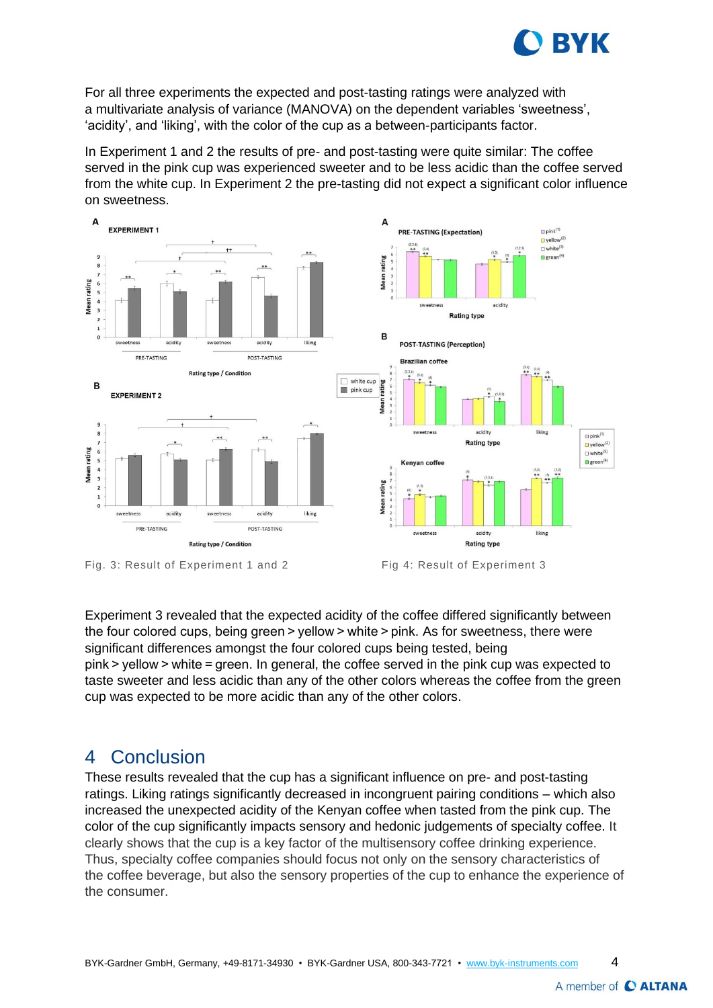

For all three experiments the expected and post-tasting ratings were analyzed with a [multivariate analysis of variance](https://www.sciencedirect.com/topics/food-science/multivariate-analysis-of-variance) (MANOVA) on the dependent variables 'sweetness', 'acidity', and 'liking', with the color of the cup as a between-participants factor.

In Experiment 1 and 2 the results of pre- and post-tasting were quite similar: The coffee served in the pink cup was experienced sweeter and to be less acidic than the coffee served from the white cup. In Experiment 2 the pre-tasting did not expect a significant color influence on sweetness.



Experiment 3 revealed that the expected acidity of the coffee differed significantly between the four colored cups, being green > yellow > white > pink. As for sweetness, there were significant differences amongst the four colored cups being tested, being pink > yellow > white = green. In general, the coffee served in the pink cup was expected to taste sweeter and less acidic than any of the other colors whereas the coffee from the green cup was expected to be more acidic than any of the other colors.

#### <span id="page-3-0"></span>4 Conclusion

These results revealed that the cup has a significant influence on pre- and post-tasting ratings. Liking ratings significantly decreased in incongruent pairing conditions – which also increased the unexpected acidity of the Kenyan coffee when tasted from the pink cup. The color of the cup significantly impacts sensory and hedonic judgements of specialty coffee. It clearly shows that the cup is a key factor of the multisensory coffee drinking experience. Thus, specialty coffee companies should focus not only on the sensory characteristics of the [coffee beverage,](https://www.sciencedirect.com/topics/food-science/coffee-beverage) but also the [sensory properties](https://www.sciencedirect.com/topics/food-science/sensory-properties) of the cup to enhance the experience of the consumer.